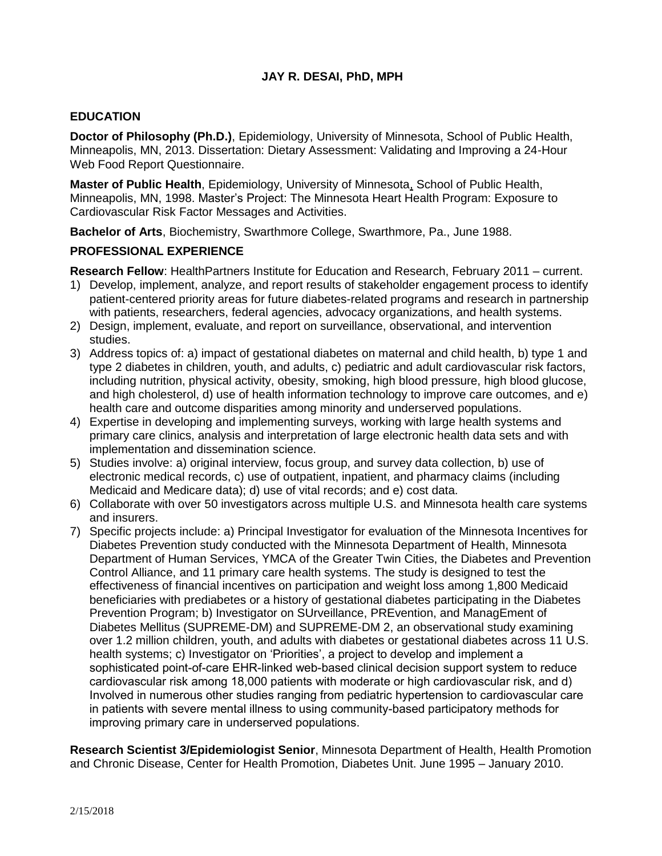### **JAY R. DESAI, PhD, MPH**

#### **EDUCATION**

**Doctor of Philosophy (Ph.D.)**, Epidemiology, University of Minnesota, School of Public Health, Minneapolis, MN, 2013. Dissertation: Dietary Assessment: Validating and Improving a 24-Hour Web Food Report Questionnaire.

**Master of Public Health**, Epidemiology, University of Minnesota, School of Public Health, Minneapolis, MN, 1998. Master's Project: The Minnesota Heart Health Program: Exposure to Cardiovascular Risk Factor Messages and Activities.

**Bachelor of Arts**, Biochemistry, Swarthmore College, Swarthmore, Pa., June 1988.

#### **PROFESSIONAL EXPERIENCE**

**Research Fellow**: HealthPartners Institute for Education and Research, February 2011 – current.

- 1) Develop, implement, analyze, and report results of stakeholder engagement process to identify patient-centered priority areas for future diabetes-related programs and research in partnership with patients, researchers, federal agencies, advocacy organizations, and health systems.
- 2) Design, implement, evaluate, and report on surveillance, observational, and intervention studies.
- 3) Address topics of: a) impact of gestational diabetes on maternal and child health, b) type 1 and type 2 diabetes in children, youth, and adults, c) pediatric and adult cardiovascular risk factors, including nutrition, physical activity, obesity, smoking, high blood pressure, high blood glucose, and high cholesterol, d) use of health information technology to improve care outcomes, and e) health care and outcome disparities among minority and underserved populations.
- 4) Expertise in developing and implementing surveys, working with large health systems and primary care clinics, analysis and interpretation of large electronic health data sets and with implementation and dissemination science.
- 5) Studies involve: a) original interview, focus group, and survey data collection, b) use of electronic medical records, c) use of outpatient, inpatient, and pharmacy claims (including Medicaid and Medicare data); d) use of vital records; and e) cost data.
- 6) Collaborate with over 50 investigators across multiple U.S. and Minnesota health care systems and insurers.
- 7) Specific projects include: a) Principal Investigator for evaluation of the Minnesota Incentives for Diabetes Prevention study conducted with the Minnesota Department of Health, Minnesota Department of Human Services, YMCA of the Greater Twin Cities, the Diabetes and Prevention Control Alliance, and 11 primary care health systems. The study is designed to test the effectiveness of financial incentives on participation and weight loss among 1,800 Medicaid beneficiaries with prediabetes or a history of gestational diabetes participating in the Diabetes Prevention Program; b) Investigator on SUrveillance, PREvention, and ManagEment of Diabetes Mellitus (SUPREME-DM) and SUPREME-DM 2, an observational study examining over 1.2 million children, youth, and adults with diabetes or gestational diabetes across 11 U.S. health systems; c) Investigator on 'Priorities', a project to develop and implement a sophisticated point-of-care EHR-linked web-based clinical decision support system to reduce cardiovascular risk among 18,000 patients with moderate or high cardiovascular risk, and d) Involved in numerous other studies ranging from pediatric hypertension to cardiovascular care in patients with severe mental illness to using community-based participatory methods for improving primary care in underserved populations.

**Research Scientist 3/Epidemiologist Senior**, Minnesota Department of Health, Health Promotion and Chronic Disease, Center for Health Promotion, Diabetes Unit. June 1995 – January 2010.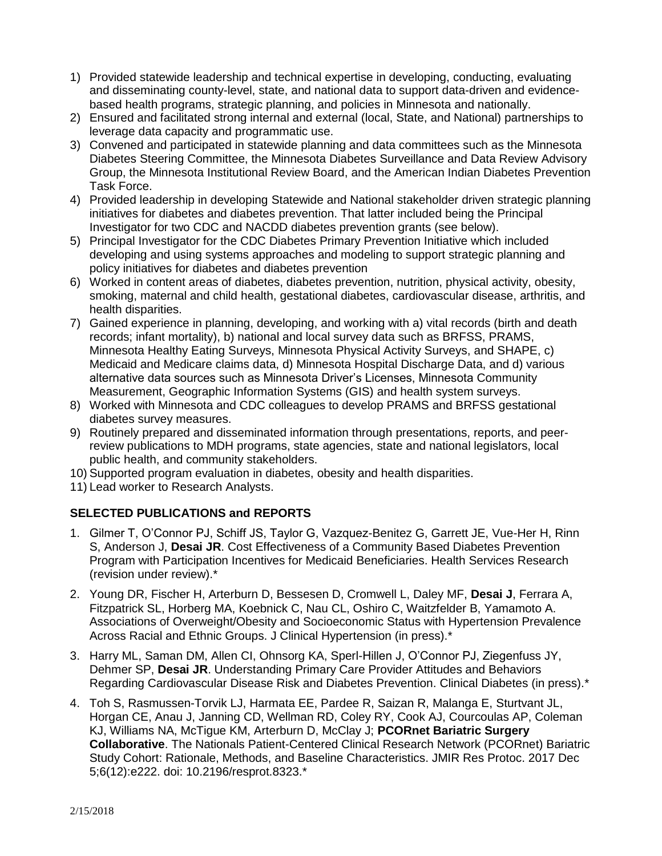- 1) Provided statewide leadership and technical expertise in developing, conducting, evaluating and disseminating county-level, state, and national data to support data-driven and evidencebased health programs, strategic planning, and policies in Minnesota and nationally.
- 2) Ensured and facilitated strong internal and external (local, State, and National) partnerships to leverage data capacity and programmatic use.
- 3) Convened and participated in statewide planning and data committees such as the Minnesota Diabetes Steering Committee, the Minnesota Diabetes Surveillance and Data Review Advisory Group, the Minnesota Institutional Review Board, and the American Indian Diabetes Prevention Task Force.
- 4) Provided leadership in developing Statewide and National stakeholder driven strategic planning initiatives for diabetes and diabetes prevention. That latter included being the Principal Investigator for two CDC and NACDD diabetes prevention grants (see below).
- 5) Principal Investigator for the CDC Diabetes Primary Prevention Initiative which included developing and using systems approaches and modeling to support strategic planning and policy initiatives for diabetes and diabetes prevention
- 6) Worked in content areas of diabetes, diabetes prevention, nutrition, physical activity, obesity, smoking, maternal and child health, gestational diabetes, cardiovascular disease, arthritis, and health disparities.
- 7) Gained experience in planning, developing, and working with a) vital records (birth and death records; infant mortality), b) national and local survey data such as BRFSS, PRAMS, Minnesota Healthy Eating Surveys, Minnesota Physical Activity Surveys, and SHAPE, c) Medicaid and Medicare claims data, d) Minnesota Hospital Discharge Data, and d) various alternative data sources such as Minnesota Driver's Licenses, Minnesota Community Measurement, Geographic Information Systems (GIS) and health system surveys.
- 8) Worked with Minnesota and CDC colleagues to develop PRAMS and BRFSS gestational diabetes survey measures.
- 9) Routinely prepared and disseminated information through presentations, reports, and peerreview publications to MDH programs, state agencies, state and national legislators, local public health, and community stakeholders.
- 10) Supported program evaluation in diabetes, obesity and health disparities.
- 11) Lead worker to Research Analysts.

# **SELECTED PUBLICATIONS and REPORTS**

- 1. Gilmer T, O'Connor PJ, Schiff JS, Taylor G, Vazquez-Benitez G, Garrett JE, Vue-Her H, Rinn S, Anderson J, **Desai JR**. Cost Effectiveness of a Community Based Diabetes Prevention Program with Participation Incentives for Medicaid Beneficiaries. Health Services Research (revision under review).\*
- 2. Young DR, Fischer H, Arterburn D, Bessesen D, Cromwell L, Daley MF, **Desai J**, Ferrara A, Fitzpatrick SL, Horberg MA, Koebnick C, Nau CL, Oshiro C, Waitzfelder B, Yamamoto A. Associations of Overweight/Obesity and Socioeconomic Status with Hypertension Prevalence Across Racial and Ethnic Groups. J Clinical Hypertension (in press).\*
- 3. Harry ML, Saman DM, Allen CI, Ohnsorg KA, Sperl-Hillen J, O'Connor PJ, Ziegenfuss JY, Dehmer SP, **Desai JR**. Understanding Primary Care Provider Attitudes and Behaviors Regarding Cardiovascular Disease Risk and Diabetes Prevention. Clinical Diabetes (in press).\*
- 4. Toh S, Rasmussen-Torvik LJ, Harmata EE, Pardee R, Saizan R, Malanga E, Sturtvant JL, Horgan CE, Anau J, Janning CD, Wellman RD, Coley RY, Cook AJ, Courcoulas AP, Coleman KJ, Williams NA, McTigue KM, Arterburn D, McClay J; **PCORnet Bariatric Surgery Collaborative**. The Nationals Patient-Centered Clinical Research Network (PCORnet) Bariatric Study Cohort: Rationale, Methods, and Baseline Characteristics. JMIR Res Protoc. 2017 Dec 5;6(12):e222. doi: 10.2196/resprot.8323.\*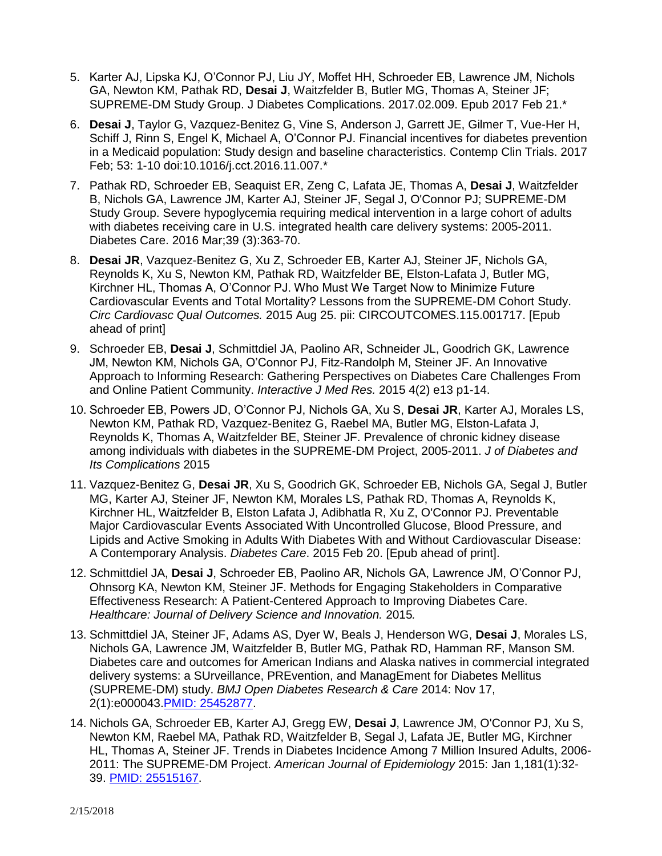- 5. Karter AJ, Lipska KJ, O'Connor PJ, Liu JY, Moffet HH, Schroeder EB, Lawrence JM, Nichols GA, Newton KM, Pathak RD, **Desai J**, Waitzfelder B, Butler MG, Thomas A, Steiner JF; SUPREME-DM Study Group. J Diabetes Complications. 2017.02.009. Epub 2017 Feb 21.\*
- 6. **Desai J**, Taylor G, Vazquez-Benitez G, Vine S, Anderson J, Garrett JE, Gilmer T, Vue-Her H, Schiff J, Rinn S, Engel K, Michael A, O'Connor PJ. Financial incentives for diabetes prevention in a Medicaid population: Study design and baseline characteristics. Contemp Clin Trials. 2017 Feb; 53: 1-10 doi:10.1016/j.cct.2016.11.007.\*
- 7. Pathak RD, Schroeder EB, Seaquist ER, Zeng C, Lafata JE, Thomas A, **Desai J**, Waitzfelder B, Nichols GA, Lawrence JM, Karter AJ, Steiner JF, Segal J, O'Connor PJ; SUPREME-DM Study Group. Severe hypoglycemia requiring medical intervention in a large cohort of adults with diabetes receiving care in U.S. integrated health care delivery systems: 2005-2011. Diabetes Care. 2016 Mar;39 (3):363-70.
- 8. **Desai JR**, Vazquez-Benitez G, Xu Z, Schroeder EB, Karter AJ, Steiner JF, Nichols GA, Reynolds K, Xu S, Newton KM, Pathak RD, Waitzfelder BE, Elston-Lafata J, Butler MG, Kirchner HL, Thomas A, O'Connor PJ. Who Must We Target Now to Minimize Future Cardiovascular Events and Total Mortality? Lessons from the SUPREME-DM Cohort Study. *Circ Cardiovasc Qual Outcomes.* 2015 Aug 25. pii: CIRCOUTCOMES.115.001717. [Epub ahead of print]
- 9. Schroeder EB, **Desai J**, Schmittdiel JA, Paolino AR, Schneider JL, Goodrich GK, Lawrence JM, Newton KM, Nichols GA, O'Connor PJ, Fitz-Randolph M, Steiner JF. An Innovative Approach to Informing Research: Gathering Perspectives on Diabetes Care Challenges From and Online Patient Community. *Interactive J Med Res.* 2015 4(2) e13 p1-14.
- 10. Schroeder EB, Powers JD, O'Connor PJ, Nichols GA, Xu S, **Desai JR**, Karter AJ, Morales LS, Newton KM, Pathak RD, Vazquez-Benitez G, Raebel MA, Butler MG, Elston-Lafata J, Reynolds K, Thomas A, Waitzfelder BE, Steiner JF. Prevalence of chronic kidney disease among individuals with diabetes in the SUPREME-DM Project, 2005-2011. *J of Diabetes and Its Complications* 2015
- 11. Vazquez-Benitez G, **Desai JR**, Xu S, Goodrich GK, Schroeder EB, Nichols GA, Segal J, Butler MG, Karter AJ, Steiner JF, Newton KM, Morales LS, Pathak RD, Thomas A, Reynolds K, Kirchner HL, Waitzfelder B, Elston Lafata J, Adibhatla R, Xu Z, O'Connor PJ. Preventable Major Cardiovascular Events Associated With Uncontrolled Glucose, Blood Pressure, and Lipids and Active Smoking in Adults With Diabetes With and Without Cardiovascular Disease: A Contemporary Analysis. *Diabetes Care*. 2015 Feb 20. [Epub ahead of print].
- 12. Schmittdiel JA, **Desai J**, Schroeder EB, Paolino AR, Nichols GA, Lawrence JM, O'Connor PJ, Ohnsorg KA, Newton KM, Steiner JF. Methods for Engaging Stakeholders in Comparative Effectiveness Research: A Patient-Centered Approach to Improving Diabetes Care. *Healthcare: Journal of Delivery Science and Innovation.* 2015*.*
- 13. Schmittdiel JA, Steiner JF, Adams AS, Dyer W, Beals J, Henderson WG, **Desai J**, Morales LS, Nichols GA, Lawrence JM, Waitzfelder B, Butler MG, Pathak RD, Hamman RF, Manson SM. Diabetes care and outcomes for American Indians and Alaska natives in commercial integrated delivery systems: a SUrveillance, PREvention, and ManagEment for Diabetes Mellitus (SUPREME-DM) study. *BMJ Open Diabetes Research & Care* 2014: Nov 17, 2(1):e000043[.PMID: 25452877.](http://www.ncbi.nlm.nih.gov/pubmed/?term=25452877)
- 14. Nichols GA, Schroeder EB, Karter AJ, Gregg EW, **Desai J**, Lawrence JM, O'Connor PJ, Xu S, Newton KM, Raebel MA, Pathak RD, Waitzfelder B, Segal J, Lafata JE, Butler MG, Kirchner HL, Thomas A, Steiner JF. Trends in Diabetes Incidence Among 7 Million Insured Adults, 2006- 2011: The SUPREME-DM Project. *American Journal of Epidemiology* 2015: Jan 1,181(1):32- 39. [PMID: 25515167.](http://www.ncbi.nlm.nih.gov/pubmed/?term=25515167)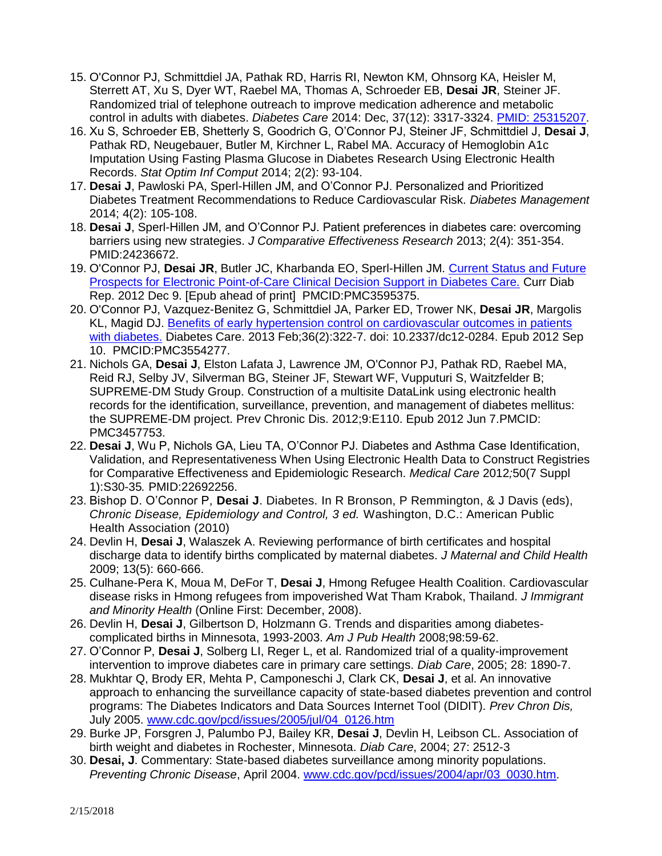- 15. O'Connor PJ, Schmittdiel JA, Pathak RD, Harris RI, Newton KM, Ohnsorg KA, Heisler M, Sterrett AT, Xu S, Dyer WT, Raebel MA, Thomas A, Schroeder EB, **Desai JR**, Steiner JF. Randomized trial of telephone outreach to improve medication adherence and metabolic control in adults with diabetes. *Diabetes Care* 2014: Dec, 37(12): 3317-3324. [PMID: 25315207.](http://www.ncbi.nlm.nih.gov/pubmed/?term=25315207%5Buid%5D)
- 16. Xu S, Schroeder EB, Shetterly S, Goodrich G, O'Connor PJ, Steiner JF, Schmittdiel J, **Desai J**, Pathak RD, Neugebauer, Butler M, Kirchner L, Rabel MA. Accuracy of Hemoglobin A1c Imputation Using Fasting Plasma Glucose in Diabetes Research Using Electronic Health Records. *Stat Optim Inf Comput* 2014; 2(2): 93-104.
- 17. **Desai J**, Pawloski PA, Sperl-Hillen JM, and O'Connor PJ. Personalized and Prioritized Diabetes Treatment Recommendations to Reduce Cardiovascular Risk. *Diabetes Management* 2014; 4(2): 105-108.
- 18. **Desai J**, Sperl-Hillen JM, and O'Connor PJ. Patient preferences in diabetes care: overcoming barriers using new strategies. *J Comparative Effectiveness Research* 2013; 2(4): 351-354. PMID:24236672.
- 19. O'Connor PJ, **Desai JR**, Butler JC, Kharbanda EO, Sperl-Hillen JM. [Current Status and Future](http://www.ncbi.nlm.nih.gov/pubmed/23225213)  [Prospects for Electronic Point-of-Care Clinical Decision Support in Diabetes Care.](http://www.ncbi.nlm.nih.gov/pubmed/23225213) Curr Diab Rep. 2012 Dec 9. [Epub ahead of print] PMCID:PMC3595375.
- 20. O'Connor PJ, Vazquez-Benitez G, Schmittdiel JA, Parker ED, Trower NK, **Desai JR**, Margolis KL, Magid DJ. [Benefits of early hypertension control on cardiovascular outcomes in patients](http://www.ncbi.nlm.nih.gov/pubmed/22966094)  [with diabetes.](http://www.ncbi.nlm.nih.gov/pubmed/22966094) Diabetes Care. 2013 Feb;36(2):322-7. doi: 10.2337/dc12-0284. Epub 2012 Sep 10. PMCID:PMC3554277.
- 21. Nichols GA, **Desai J**, Elston Lafata J, Lawrence JM, O'Connor PJ, Pathak RD, Raebel MA, Reid RJ, Selby JV, Silverman BG, Steiner JF, Stewart WF, Vupputuri S, Waitzfelder B; SUPREME-DM Study Group. Construction of a multisite DataLink using electronic health records for the identification, surveillance, prevention, and management of diabetes mellitus: the SUPREME-DM project. Prev Chronic Dis. 2012;9:E110. Epub 2012 Jun 7.PMCID: PMC3457753.
- 22. **Desai J**, Wu P, Nichols GA, Lieu TA, O'Connor PJ. Diabetes and Asthma Case Identification, Validation, and Representativeness When Using Electronic Health Data to Construct Registries for Comparative Effectiveness and Epidemiologic Research. *Medical Care* 2012*;*50(7 Suppl 1):S30-35*.* PMID:22692256.
- 23. Bishop D. O'Connor P, **Desai J**. Diabetes. In R Bronson, P Remmington, & J Davis (eds), *Chronic Disease, Epidemiology and Control, 3 ed.* Washington, D.C.: American Public Health Association (2010)
- 24. Devlin H, **Desai J**, Walaszek A. Reviewing performance of birth certificates and hospital discharge data to identify births complicated by maternal diabetes. *J Maternal and Child Health* 2009; 13(5): 660-666.
- 25. Culhane-Pera K, Moua M, DeFor T, **Desai J**, Hmong Refugee Health Coalition. Cardiovascular disease risks in Hmong refugees from impoverished Wat Tham Krabok, Thailand. *J Immigrant and Minority Health* (Online First: December, 2008).
- 26. Devlin H, **Desai J**, Gilbertson D, Holzmann G. Trends and disparities among diabetescomplicated births in Minnesota, 1993-2003. *Am J Pub Health* 2008;98:59-62.
- 27. O'Connor P, **Desai J**, Solberg LI, Reger L, et al. Randomized trial of a quality-improvement intervention to improve diabetes care in primary care settings. *Diab Care*, 2005; 28: 1890-7.
- 28. Mukhtar Q, Brody ER, Mehta P, Camponeschi J, Clark CK, **Desai J**, et al. An innovative approach to enhancing the surveillance capacity of state-based diabetes prevention and control programs: The Diabetes Indicators and Data Sources Internet Tool (DIDIT). *Prev Chron Dis,* July 2005. [www.cdc.gov/pcd/issues/2005/jul/04\\_0126.htm](http://www.cdc.gov/pcd/issues/2005/jul/04_0126.htm)
- 29. Burke JP, Forsgren J, Palumbo PJ, Bailey KR, **Desai J**, Devlin H, Leibson CL. Association of birth weight and diabetes in Rochester, Minnesota. *Diab Care*, 2004; 27: 2512-3
- 30. **Desai, J**. Commentary: State-based diabetes surveillance among minority populations. *Preventing Chronic Disease*, April 2004. [www.cdc.gov/pcd/issues/2004/apr/03\\_0030.htm.](http://www.cdc.gov/pcd/issues/2004/apr/03_0030.htm)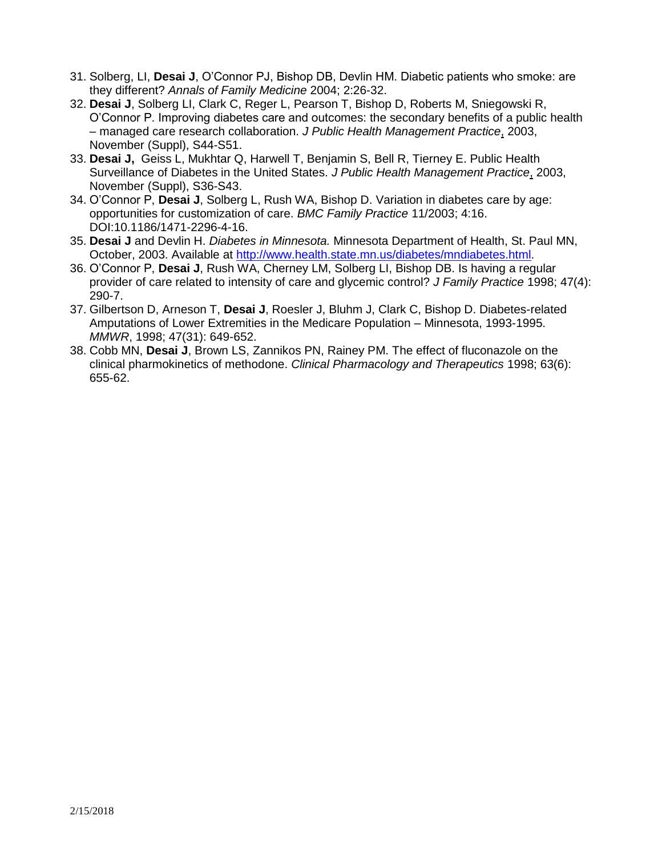- 31. Solberg, LI, **Desai J**, O'Connor PJ, Bishop DB, Devlin HM. Diabetic patients who smoke: are they different? *Annals of Family Medicine* 2004; 2:26-32.
- 32. **Desai J**, Solberg LI, Clark C, Reger L, Pearson T, Bishop D, Roberts M, Sniegowski R, O'Connor P. Improving diabetes care and outcomes: the secondary benefits of a public health – managed care research collaboration. *J Public Health Management Practice*, 2003, November (Suppl), S44-S51.
- 33. **Desai J,** Geiss L, Mukhtar Q, Harwell T, Benjamin S, Bell R, Tierney E. Public Health Surveillance of Diabetes in the United States. *J Public Health Management Practice*, 2003, November (Suppl), S36-S43.
- 34. O'Connor P, **Desai J**, Solberg L, Rush WA, Bishop D. Variation in diabetes care by age: opportunities for customization of care. *BMC Family Practice* 11/2003; 4:16. DOI:10.1186/1471-2296-4-16.
- 35. **Desai J** and Devlin H. *Diabetes in Minnesota.* Minnesota Department of Health, St. Paul MN, October, 2003. Available at [http://www.health.state.mn.us/diabetes/mndiabetes.html.](http://www.health.state.mn.us/diabetes/mndiabetes.html)
- 36. O'Connor P, **Desai J**, Rush WA, Cherney LM, Solberg LI, Bishop DB. Is having a regular provider of care related to intensity of care and glycemic control? *J Family Practice* 1998; 47(4): 290-7.
- 37. Gilbertson D, Arneson T, **Desai J**, Roesler J, Bluhm J, Clark C, Bishop D. Diabetes-related Amputations of Lower Extremities in the Medicare Population – Minnesota, 1993-1995. *MMWR*, 1998; 47(31): 649-652.
- 38. Cobb MN, **Desai J**, Brown LS, Zannikos PN, Rainey PM. The effect of fluconazole on the clinical pharmokinetics of methodone. *Clinical Pharmacology and Therapeutics* 1998; 63(6): 655-62.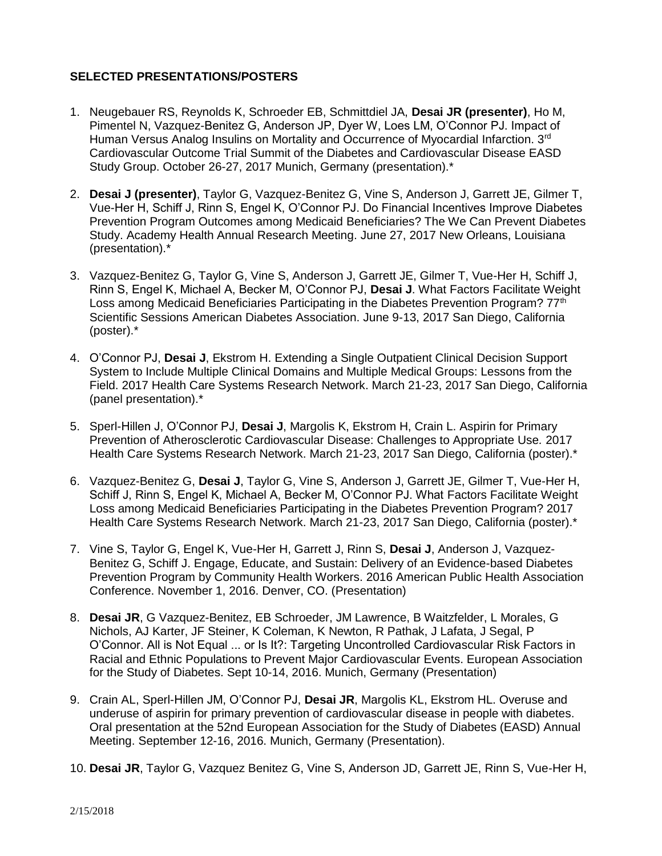### **SELECTED PRESENTATIONS/POSTERS**

- 1. Neugebauer RS, Reynolds K, Schroeder EB, Schmittdiel JA, **Desai JR (presenter)**, Ho M, Pimentel N, Vazquez-Benitez G, Anderson JP, Dyer W, Loes LM, O'Connor PJ. Impact of Human Versus Analog Insulins on Mortality and Occurrence of Myocardial Infarction. 3rd Cardiovascular Outcome Trial Summit of the Diabetes and Cardiovascular Disease EASD Study Group. October 26-27, 2017 Munich, Germany (presentation).\*
- 2. **Desai J (presenter)**, Taylor G, Vazquez-Benitez G, Vine S, Anderson J, Garrett JE, Gilmer T, Vue-Her H, Schiff J, Rinn S, Engel K, O'Connor PJ. Do Financial Incentives Improve Diabetes Prevention Program Outcomes among Medicaid Beneficiaries? The We Can Prevent Diabetes Study. Academy Health Annual Research Meeting. June 27, 2017 New Orleans, Louisiana (presentation).\*
- 3. Vazquez-Benitez G, Taylor G, Vine S, Anderson J, Garrett JE, Gilmer T, Vue-Her H, Schiff J, Rinn S, Engel K, Michael A, Becker M, O'Connor PJ, **Desai J**. What Factors Facilitate Weight Loss among Medicaid Beneficiaries Participating in the Diabetes Prevention Program? 77<sup>th</sup> Scientific Sessions American Diabetes Association. June 9-13, 2017 San Diego, California (poster).\*
- 4. O'Connor PJ, **Desai J**, Ekstrom H. Extending a Single Outpatient Clinical Decision Support System to Include Multiple Clinical Domains and Multiple Medical Groups: Lessons from the Field. 2017 Health Care Systems Research Network. March 21-23, 2017 San Diego, California (panel presentation).\*
- 5. Sperl-Hillen J, O'Connor PJ, **Desai J**, Margolis K, Ekstrom H, Crain L. Aspirin for Primary Prevention of Atherosclerotic Cardiovascular Disease: Challenges to Appropriate Use*.* 2017 Health Care Systems Research Network. March 21-23, 2017 San Diego, California (poster).\*
- 6. Vazquez-Benitez G, **Desai J**, Taylor G, Vine S, Anderson J, Garrett JE, Gilmer T, Vue-Her H, Schiff J, Rinn S, Engel K, Michael A, Becker M, O'Connor PJ. What Factors Facilitate Weight Loss among Medicaid Beneficiaries Participating in the Diabetes Prevention Program? 2017 Health Care Systems Research Network. March 21-23, 2017 San Diego, California (poster).\*
- 7. Vine S, Taylor G, Engel K, Vue-Her H, Garrett J, Rinn S, **Desai J**, Anderson J, Vazquez-Benitez G, Schiff J. Engage, Educate, and Sustain: Delivery of an Evidence-based Diabetes Prevention Program by Community Health Workers. 2016 American Public Health Association Conference. November 1, 2016. Denver, CO. (Presentation)
- 8. **Desai JR**, G Vazquez-Benitez, EB Schroeder, JM Lawrence, B Waitzfelder, L Morales, G Nichols, AJ Karter, JF Steiner, K Coleman, K Newton, R Pathak, J Lafata, J Segal, P O'Connor. All is Not Equal ... or Is It?: Targeting Uncontrolled Cardiovascular Risk Factors in Racial and Ethnic Populations to Prevent Major Cardiovascular Events. European Association for the Study of Diabetes. Sept 10-14, 2016. Munich, Germany (Presentation)
- 9. Crain AL, Sperl-Hillen JM, O'Connor PJ, **Desai JR**, Margolis KL, Ekstrom HL. Overuse and underuse of aspirin for primary prevention of cardiovascular disease in people with diabetes. Oral presentation at the 52nd European Association for the Study of Diabetes (EASD) Annual Meeting. September 12-16, 2016. Munich, Germany (Presentation).
- 10. **Desai JR**, Taylor G, Vazquez Benitez G, Vine S, Anderson JD, Garrett JE, Rinn S, Vue-Her H,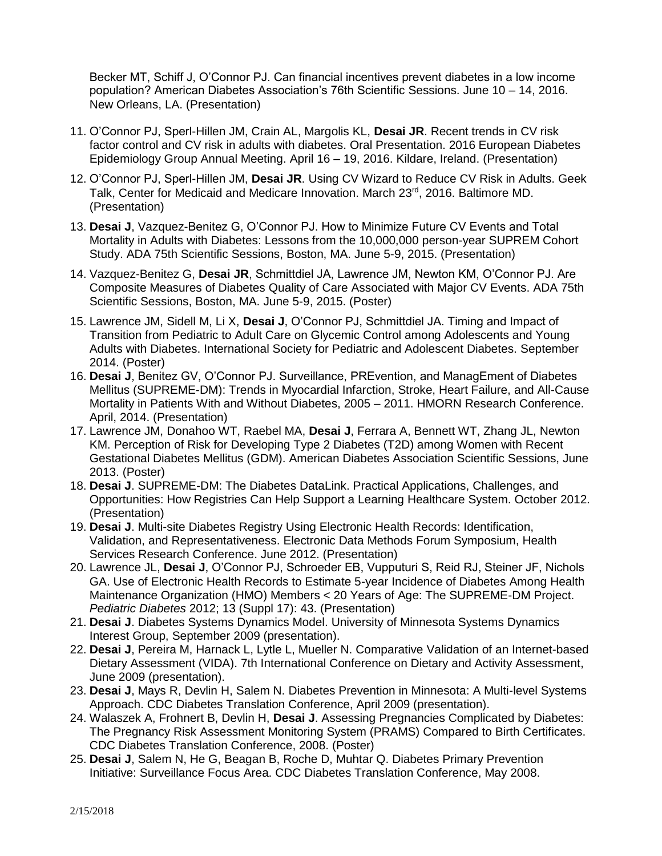Becker MT, Schiff J, O'Connor PJ. Can financial incentives prevent diabetes in a low income population? American Diabetes Association's 76th Scientific Sessions. June 10 – 14, 2016. New Orleans, LA. (Presentation)

- 11. O'Connor PJ, Sperl-Hillen JM, Crain AL, Margolis KL, **Desai JR**. Recent trends in CV risk factor control and CV risk in adults with diabetes. Oral Presentation. 2016 European Diabetes Epidemiology Group Annual Meeting. April 16 – 19, 2016. Kildare, Ireland. (Presentation)
- 12. O'Connor PJ, Sperl-Hillen JM, **Desai JR**. Using CV Wizard to Reduce CV Risk in Adults. Geek Talk, Center for Medicaid and Medicare Innovation. March 23rd, 2016. Baltimore MD. (Presentation)
- 13. **Desai J**, Vazquez-Benitez G, O'Connor PJ. How to Minimize Future CV Events and Total Mortality in Adults with Diabetes: Lessons from the 10,000,000 person-year SUPREM Cohort Study. ADA 75th Scientific Sessions, Boston, MA. June 5-9, 2015. (Presentation)
- 14. Vazquez-Benitez G, **Desai JR**, Schmittdiel JA, Lawrence JM, Newton KM, O'Connor PJ. Are Composite Measures of Diabetes Quality of Care Associated with Major CV Events. ADA 75th Scientific Sessions, Boston, MA. June 5-9, 2015. (Poster)
- 15. Lawrence JM, Sidell M, Li X, **Desai J**, O'Connor PJ, Schmittdiel JA. Timing and Impact of Transition from Pediatric to Adult Care on Glycemic Control among Adolescents and Young Adults with Diabetes. International Society for Pediatric and Adolescent Diabetes. September 2014. (Poster)
- 16. **Desai J**, Benitez GV, O'Connor PJ. Surveillance, PREvention, and ManagEment of Diabetes Mellitus (SUPREME-DM): Trends in Myocardial Infarction, Stroke, Heart Failure, and All-Cause Mortality in Patients With and Without Diabetes, 2005 – 2011. HMORN Research Conference. April, 2014. (Presentation)
- 17. Lawrence JM, Donahoo WT, Raebel MA, **Desai J**, Ferrara A, Bennett WT, Zhang JL, Newton KM. Perception of Risk for Developing Type 2 Diabetes (T2D) among Women with Recent Gestational Diabetes Mellitus (GDM). American Diabetes Association Scientific Sessions, June 2013. (Poster)
- 18. **Desai J**. SUPREME-DM: The Diabetes DataLink. Practical Applications, Challenges, and Opportunities: How Registries Can Help Support a Learning Healthcare System. October 2012. (Presentation)
- 19. **Desai J**. Multi-site Diabetes Registry Using Electronic Health Records: Identification, Validation, and Representativeness. Electronic Data Methods Forum Symposium, Health Services Research Conference. June 2012. (Presentation)
- 20. Lawrence JL, **Desai J**, O'Connor PJ, Schroeder EB, Vupputuri S, Reid RJ, Steiner JF, Nichols GA. Use of Electronic Health Records to Estimate 5-year Incidence of Diabetes Among Health Maintenance Organization (HMO) Members < 20 Years of Age: The SUPREME-DM Project. *Pediatric Diabetes* 2012; 13 (Suppl 17): 43. (Presentation)
- 21. **Desai J**. Diabetes Systems Dynamics Model. University of Minnesota Systems Dynamics Interest Group, September 2009 (presentation).
- 22. **Desai J**, Pereira M, Harnack L, Lytle L, Mueller N. Comparative Validation of an Internet-based Dietary Assessment (VIDA). 7th International Conference on Dietary and Activity Assessment, June 2009 (presentation).
- 23. **Desai J**, Mays R, Devlin H, Salem N. Diabetes Prevention in Minnesota: A Multi-level Systems Approach. CDC Diabetes Translation Conference, April 2009 (presentation).
- 24. Walaszek A, Frohnert B, Devlin H, **Desai J**. Assessing Pregnancies Complicated by Diabetes: The Pregnancy Risk Assessment Monitoring System (PRAMS) Compared to Birth Certificates. CDC Diabetes Translation Conference, 2008. (Poster)
- 25. **Desai J**, Salem N, He G, Beagan B, Roche D, Muhtar Q. Diabetes Primary Prevention Initiative: Surveillance Focus Area. CDC Diabetes Translation Conference, May 2008.